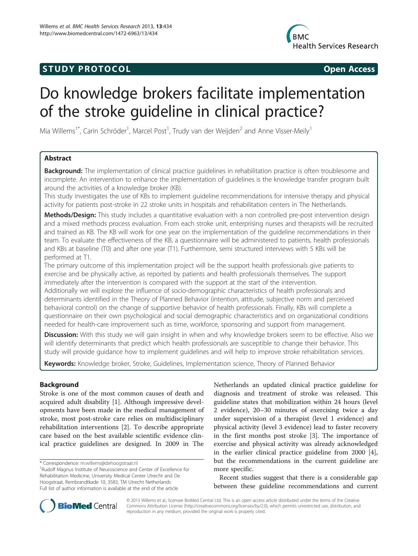## **STUDY PROTOCOL CONSUMING THE CONSUMING OPEN ACCESS**



# Do knowledge brokers facilitate implementation of the stroke guideline in clinical practice?

Mia Willems<sup>1\*</sup>, Carin Schröder<sup>1</sup>, Marcel Post<sup>1</sup>, Trudy van der Weijden<sup>2</sup> and Anne Visser-Meily<sup>1</sup>

## Abstract

**Background:** The implementation of clinical practice quidelines in rehabilitation practice is often troublesome and incomplete. An intervention to enhance the implementation of guidelines is the knowledge transfer program built around the activities of a knowledge broker (KB).

This study investigates the use of KBs to implement guideline recommendations for intensive therapy and physical activity for patients post-stroke in 22 stroke units in hospitals and rehabilitation centers in The Netherlands.

Methods/Design: This study includes a quantitative evaluation with a non controlled pre-post intervention design and a mixed methods process evaluation. From each stroke unit, enterprising nurses and therapists will be recruited and trained as KB. The KB will work for one year on the implementation of the guideline recommendations in their team. To evaluate the effectiveness of the KB, a questionnaire will be administered to patients, health professionals and KBs at baseline (T0) and after one year (T1). Furthermore, semi structured interviews with 5 KBs will be performed at T1.

The primary outcome of this implementation project will be the support health professionals give patients to exercise and be physically active, as reported by patients and health professionals themselves. The support immediately after the intervention is compared with the support at the start of the intervention.

Additionally we will explore the influence of socio-demographic characteristics of health professionals and determinants identified in the Theory of Planned Behavior (intention, attitude, subjective norm and perceived behavioral control) on the change of supportive behavior of health professionals. Finally, KBs will complete a questionnaire on their own psychological and social demographic characteristics and on organizational conditions needed for health-care improvement such as time, workforce, sponsoring and support from management.

Discussion: With this study we will gain insight in when and why knowledge brokers seem to be effective. Also we will identify determinants that predict which health professionals are susceptible to change their behavior. This study will provide guidance how to implement guidelines and will help to improve stroke rehabilitation services.

Keywords: Knowledge broker, Stroke, Guidelines, Implementation science, Theory of Planned Behavior

## Background

Stroke is one of the most common causes of death and acquired adult disability [\[1\]](#page-6-0). Although impressive developments have been made in the medical management of stroke, most post-stroke care relies on multidisciplinary rehabilitation interventions [\[2](#page-6-0)]. To describe appropriate care based on the best available scientific evidence clinical practice guidelines are designed. In 2009 in The

\* Correspondence: [m.willems@dehoogstraat.nl](mailto:m.willems@dehoogstraat.nl) <sup>1</sup>

Netherlands an updated clinical practice guideline for diagnosis and treatment of stroke was released. This guideline states that mobilization within 24 hours (level 2 evidence), 20–30 minutes of exercising twice a day under supervision of a therapist (level 1 evidence) and physical activity (level 3 evidence) lead to faster recovery in the first months post stroke [[3](#page-6-0)]. The importance of exercise and physical activity was already acknowledged in the earlier clinical practice guideline from 2000 [\[4](#page-6-0)], but the recommendations in the current guideline are more specific.

Recent studies suggest that there is a considerable gap between these guideline recommendations and current



© 2013 Willems et al.; licensee BioMed Central Ltd. This is an open access article distributed under the terms of the Creative Commons Attribution License [\(http://creativecommons.org/licenses/by/2.0\)](http://creativecommons.org/licenses/by/2.0), which permits unrestricted use, distribution, and reproduction in any medium, provided the original work is properly cited.

<sup>&</sup>lt;sup>1</sup>Rudolf Magnus Institute of Neuroscience and Center of Excellence for Rehabilitation Medicine, University Medical Center Utrecht and De Hoogstraat, Rembrandtkade 10, 3583, TM Utrecht Netherlands Full list of author information is available at the end of the article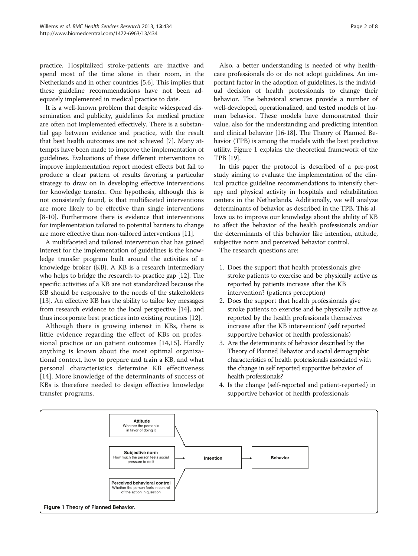<span id="page-1-0"></span>practice. Hospitalized stroke-patients are inactive and spend most of the time alone in their room, in the Netherlands and in other countries [\[5,6](#page-6-0)]. This implies that these guideline recommendations have not been adequately implemented in medical practice to date.

It is a well-known problem that despite widespread dissemination and publicity, guidelines for medical practice are often not implemented effectively. There is a substantial gap between evidence and practice, with the result that best health outcomes are not achieved [[7\]](#page-6-0). Many attempts have been made to improve the implementation of guidelines. Evaluations of these different interventions to improve implementation report modest effects but fail to produce a clear pattern of results favoring a particular strategy to draw on in developing effective interventions for knowledge transfer. One hypothesis, although this is not consistently found, is that multifaceted interventions are more likely to be effective than single interventions [[8-10\]](#page-6-0). Furthermore there is evidence that interventions for implementation tailored to potential barriers to change are more effective than non-tailored interventions [\[11](#page-6-0)].

A multifaceted and tailored intervention that has gained interest for the implementation of guidelines is the knowledge transfer program built around the activities of a knowledge broker (KB). A KB is a research intermediary who helps to bridge the research-to-practice gap [\[12\]](#page-6-0). The specific activities of a KB are not standardized because the KB should be responsive to the needs of the stakeholders [[13](#page-6-0)]. An effective KB has the ability to tailor key messages from research evidence to the local perspective [\[14\]](#page-6-0), and thus incorporate best practices into existing routines [\[12\]](#page-6-0).

Although there is growing interest in KBs, there is little evidence regarding the effect of KBs on professional practice or on patient outcomes [[14](#page-6-0),[15\]](#page-6-0). Hardly anything is known about the most optimal organizational context, how to prepare and train a KB, and what personal characteristics determine KB effectiveness [[14](#page-6-0)]. More knowledge of the determinants of success of KBs is therefore needed to design effective knowledge transfer programs.

Also, a better understanding is needed of why healthcare professionals do or do not adopt guidelines. An important factor in the adoption of guidelines, is the individual decision of health professionals to change their behavior. The behavioral sciences provide a number of well-developed, operationalized, and tested models of human behavior. These models have demonstrated their value, also for the understanding and predicting intention and clinical behavior [\[16](#page-6-0)-[18](#page-6-0)]. The Theory of Planned Behavior (TPB) is among the models with the best predictive utility. Figure 1 explains the theoretical framework of the TPB [\[19\]](#page-6-0).

In this paper the protocol is described of a pre-post study aiming to evaluate the implementation of the clinical practice guideline recommendations to intensify therapy and physical activity in hospitals and rehabilitation centers in the Netherlands. Additionally, we will analyze determinants of behavior as described in the TPB. This allows us to improve our knowledge about the ability of KB to affect the behavior of the health professionals and/or the determinants of this behavior like intention, attitude, subjective norm and perceived behavior control.

The research questions are:

- 1. Does the support that health professionals give stroke patients to exercise and be physically active as reported by patients increase after the KB intervention? (patients perception)
- 2. Does the support that health professionals give stroke patients to exercise and be physically active as reported by the health professionals themselves increase after the KB intervention? (self reported supportive behavior of health professionals)
- 3. Are the determinants of behavior described by the Theory of Planned Behavior and social demographic characteristics of health professionals associated with the change in self reported supportive behavior of health professionals?
- 4. Is the change (self-reported and patient-reported) in supportive behavior of health professionals

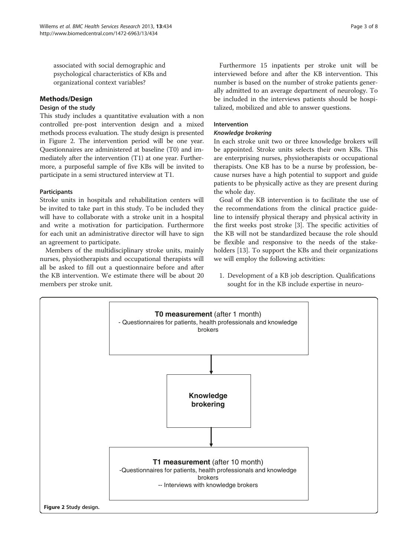associated with social demographic and psychological characteristics of KBs and organizational context variables?

## Methods/Design

#### Design of the study

This study includes a quantitative evaluation with a non controlled pre-post intervention design and a mixed methods process evaluation. The study design is presented in Figure 2. The intervention period will be one year. Questionnaires are administered at baseline (T0) and immediately after the intervention (T1) at one year. Furthermore, a purposeful sample of five KBs will be invited to participate in a semi structured interview at T1.

## **Participants**

Stroke units in hospitals and rehabilitation centers will be invited to take part in this study. To be included they will have to collaborate with a stroke unit in a hospital and write a motivation for participation. Furthermore for each unit an administrative director will have to sign an agreement to participate.

Members of the multidisciplinary stroke units, mainly nurses, physiotherapists and occupational therapists will all be asked to fill out a questionnaire before and after the KB intervention. We estimate there will be about 20 members per stroke unit.

Furthermore 15 inpatients per stroke unit will be interviewed before and after the KB intervention. This number is based on the number of stroke patients generally admitted to an average department of neurology. To be included in the interviews patients should be hospitalized, mobilized and able to answer questions.

#### Intervention

#### Knowledge brokering

In each stroke unit two or three knowledge brokers will be appointed. Stroke units selects their own KBs. This are enterprising nurses, physiotherapists or occupational therapists. One KB has to be a nurse by profession, because nurses have a high potential to support and guide patients to be physically active as they are present during the whole day.

Goal of the KB intervention is to facilitate the use of the recommendations from the clinical practice guideline to intensify physical therapy and physical activity in the first weeks post stroke [\[3\]](#page-6-0). The specific activities of the KB will not be standardized because the role should be flexible and responsive to the needs of the stake-holders [[13\]](#page-6-0). To support the KBs and their organizations we will employ the following activities:

1. Development of a KB job description. Qualifications sought for in the KB include expertise in neuro-

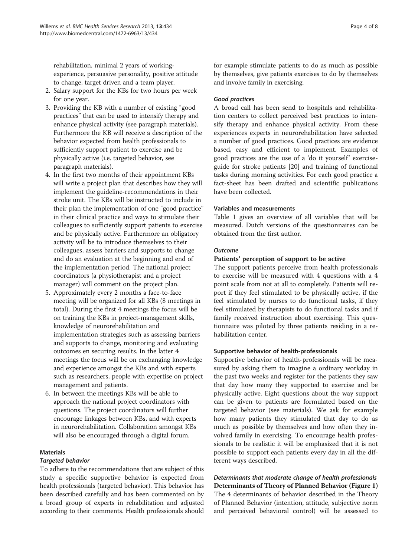rehabilitation, minimal 2 years of workingexperience, persuasive personality, positive attitude to change, target driven and a team player.

- 2. Salary support for the KBs for two hours per week for one year.
- 3. Providing the KB with a number of existing "good practices" that can be used to intensify therapy and enhance physical activity (see paragraph materials). Furthermore the KB will receive a description of the behavior expected from health professionals to sufficiently support patient to exercise and be physically active (i.e. targeted behavior, see paragraph materials).
- 4. In the first two months of their appointment KBs will write a project plan that describes how they will implement the guideline-recommendations in their stroke unit. The KBs will be instructed to include in their plan the implementation of one "good practice" in their clinical practice and ways to stimulate their colleagues to sufficiently support patients to exercise and be physically active. Furthermore an obligatory activity will be to introduce themselves to their colleagues, assess barriers and supports to change and do an evaluation at the beginning and end of the implementation period. The national project coordinators (a physiotherapist and a project manager) will comment on the project plan.
- 5. Approximately every 2 months a face-to-face meeting will be organized for all KBs (8 meetings in total). During the first 4 meetings the focus will be on training the KBs in project-management skills, knowledge of neurorehabilitation and implementation strategies such as assessing barriers and supports to change, monitoring and evaluating outcomes en securing results. In the latter 4 meetings the focus will be on exchanging knowledge and experience amongst the KBs and with experts such as researchers, people with expertise on project management and patients.
- 6. In between the meetings KBs will be able to approach the national project coordinators with questions. The project coordinators will further encourage linkages between KBs, and with experts in neurorehabilitation. Collaboration amongst KBs will also be encouraged through a digital forum.

## Materials

## Targeted behavior

To adhere to the recommendations that are subject of this study a specific supportive behavior is expected from health professionals (targeted behavior). This behavior has been described carefully and has been commented on by a broad group of experts in rehabilitation and adjusted according to their comments. Health professionals should

for example stimulate patients to do as much as possible by themselves, give patients exercises to do by themselves and involve family in exercising.

## Good practices

A broad call has been send to hospitals and rehabilitation centers to collect perceived best practices to intensify therapy and enhance physical activity. From these experiences experts in neurorehabilitation have selected a number of good practices. Good practices are evidence based, easy and efficient to implement. Examples of good practices are the use of a 'do it yourself' exerciseguide for stroke patients [\[20](#page-6-0)] and training of functional tasks during morning activities. For each good practice a fact-sheet has been drafted and scientific publications have been collected.

## Variables and measurements

Table [1](#page-4-0) gives an overview of all variables that will be measured. Dutch versions of the questionnaires can be obtained from the first author.

## **Outcome**

## Patients' perception of support to be active

The support patients perceive from health professionals to exercise will be measured with 4 questions with a 4 point scale from not at all to completely. Patients will report if they feel stimulated to be physically active, if the feel stimulated by nurses to do functional tasks, if they feel stimulated by therapists to do functional tasks and if family received instruction about exercising. This questionnaire was piloted by three patients residing in a rehabilitation center.

## Supportive behavior of health-professionals

Supportive behavior of health-professionals will be measured by asking them to imagine a ordinary workday in the past two weeks and register for the patients they saw that day how many they supported to exercise and be physically active. Eight questions about the way support can be given to patients are formulated based on the targeted behavior (see materials). We ask for example how many patients they stimulated that day to do as much as possible by themselves and how often they involved family in exercising. To encourage health professionals to be realistic it will be emphasized that it is not possible to support each patients every day in all the different ways described.

Determinants that moderate change of health professionals Determinants of Theory of Planned Behavior (Figure [1](#page-1-0)) The 4 determinants of behavior described in the Theory of Planned Behavior (intention, attitude, subjective norm and perceived behavioral control) will be assessed to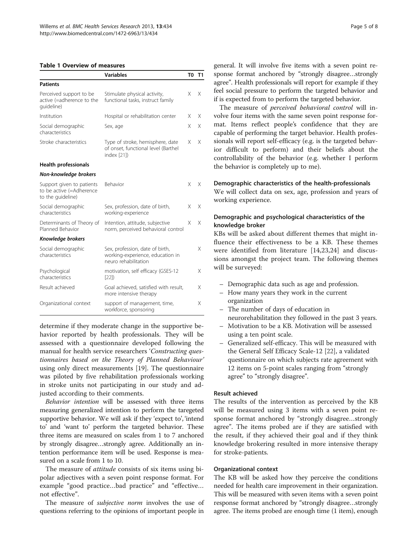#### <span id="page-4-0"></span>Table 1 Overview of measures

|                                                                            | <b>Variables</b>                                                                            | T <sub>0</sub> | <b>T1</b> |
|----------------------------------------------------------------------------|---------------------------------------------------------------------------------------------|----------------|-----------|
| <b>Patients</b>                                                            |                                                                                             |                |           |
| Perceived support to be<br>active (=adherence to the<br>quideline)         | Stimulate physical activity,<br>functional tasks, instruct family                           | X              | X         |
| Institution                                                                | Hospital or rehabilitation center                                                           | X              | X         |
| Social demographic<br>characteristics                                      | Sex, age                                                                                    | X              | X         |
| Stroke characteristics                                                     | Type of stroke, hemisphere, date<br>of onset, functional level (Barthel<br>index [21])      | Χ              | Χ         |
| <b>Health professionals</b>                                                |                                                                                             |                |           |
| Non-knowledge brokers                                                      |                                                                                             |                |           |
| Support given to patients<br>to be active (=Adherence<br>to the quideline) | <b>Behavior</b>                                                                             | X              | Χ         |
| Social demographic<br>characteristics                                      | Sex, profession, date of birth,<br>working-experience                                       | X              | Χ         |
| Determinants of Theory of<br>Planned Behavior                              | Intention, attitude, subjective<br>norm, perceived behavioral control                       | X              | X         |
| Knowledge brokers                                                          |                                                                                             |                |           |
| Social demographic<br>characteristics                                      | Sex, profession, date of birth,<br>working-experience, education in<br>neuro rehabilitation |                | X         |
| Psychological<br>characteristics                                           | motivation, self efficacy (GSES-12<br>[22]                                                  |                | X         |
| Result achieved                                                            | Goal achieved, satisfied with result,<br>more intensive therapy                             |                | Χ         |
| Organizational context                                                     | support of management, time,<br>workforce, sponsoring                                       |                | Χ         |

determine if they moderate change in the supportive behavior reported by health professionals. They will be assessed with a questionnaire developed following the manual for health service researchers 'Constructing questionnaires based on the Theory of Planned Behaviour' using only direct measurements [[19](#page-6-0)]. The questionnaire was piloted by five rehabilitation professionals working in stroke units not participating in our study and adjusted according to their comments.

Behavior intention will be assessed with three items measuring generalized intention to perform the taregeted supportive behavior. We will ask if they 'expect to', 'intend to' and 'want to' perform the targeted behavior. These three items are measured on scales from 1 to 7 anchored by strongly disagree…strongly agree. Additionally an intention performance item will be used. Response is measured on a scale from 1 to 10.

The measure of *attitude* consists of six items using bipolar adjectives with a seven point response format. For example "good practice…bad practice" and "effective… not effective".

The measure of *subjective norm* involves the use of questions referring to the opinions of important people in

general. It will involve five items with a seven point response format anchored by "strongly disagree…strongly agree". Health professionals will report for example if they feel social pressure to perform the targeted behavior and if is expected from to perform the targeted behavior.

The measure of perceived behavioral control will involve four items with the same seven point response format. Items reflect people's confidence that they are capable of performing the target behavior. Health professionals will report self-efficacy (e.g. is the targeted behavior difficult to perform) and their beliefs about the controllability of the behavior (e.g. whether I perform the behavior is completely up to me).

#### Demographic characteristics of the health-professionals

We will collect data on sex, age, profession and years of working experience.

## Demographic and psychological characteristics of the knowledge broker

KBs will be asked about different themes that might influence their effectiveness to be a KB. These themes were identified from literature [[14,23](#page-6-0)[,24](#page-7-0)] and discussions amongst the project team. The following themes will be surveyed:

- Demographic data such as age and profession.
- How many years they work in the current organization
- The number of days of education in neurorehabilitation they followed in the past 3 years.
- Motivation to be a KB. Motivation will be assessed using a ten point scale.
- Generalized self-efficacy. This will be measured with the General Self Efficacy Scale-12 [[22](#page-6-0)], a validated questionnaire on which subjects rate agreement with 12 items on 5-point scales ranging from "strongly agree" to "strongly disagree".

#### Result achieved

The results of the intervention as perceived by the KB will be measured using 3 items with a seven point response format anchored by "strongly disagree…strongly agree". The items probed are if they are satisfied with the result, if they achieved their goal and if they think knowledge brokering resulted in more intensive therapy for stroke-patients.

#### Organizational context

The KB will be asked how they perceive the conditions needed for health care improvement in their organization. This will be measured with seven items with a seven point response format anchored by "strongly disagree…strongly agree. The items probed are enough time (1 item), enough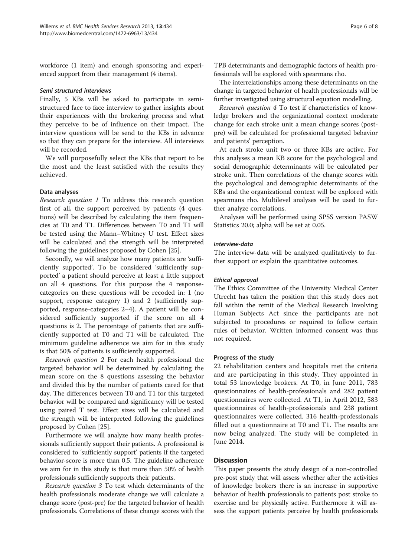workforce (1 item) and enough sponsoring and experienced support from their management (4 items).

#### Semi structured interviews

Finally, 5 KBs will be asked to participate in semistructured face to face interview to gather insights about their experiences with the brokering process and what they perceive to be of influence on their impact. The interview questions will be send to the KBs in advance so that they can prepare for the interview. All interviews will be recorded.

We will purposefully select the KBs that report to be the most and the least satisfied with the results they achieved.

#### Data analyses

Research question 1 To address this research question first of all, the support perceived by patients (4 questions) will be described by calculating the item frequencies at T0 and T1. Differences between T0 and T1 will be tested using the Mann–Whitney U test. Effect sizes will be calculated and the strength will be interpreted following the guidelines proposed by Cohen [\[25\]](#page-7-0).

Secondly, we will analyze how many patients are 'sufficiently supported'. To be considered 'sufficiently supported' a patient should perceive at least a little support on all 4 questions. For this purpose the 4 responsecategories on these questions will be recoded in: 1 (no support, response category 1) and 2 (sufficiently supported, response-categories 2–4). A patient will be considered sufficiently supported if the score on all 4 questions is 2. The percentage of patients that are sufficiently supported at T0 and T1 will be calculated. The minimum guideline adherence we aim for in this study is that 50% of patients is sufficiently supported.

Research question 2 For each health professional the targeted behavior will be determined by calculating the mean score on the 8 questions assessing the behavior and divided this by the number of patients cared for that day. The differences between T0 and T1 for this targeted behavior will be compared and significancy will be tested using paired T test. Effect sizes will be calculated and the strength will be interpreted following the guidelines proposed by Cohen [[25\]](#page-7-0).

Furthermore we will analyze how many health professionals sufficiently support their patients. A professional is considered to 'sufficiently support' patients if the targeted behavior-score is more than 0,5. The guideline adherence we aim for in this study is that more than 50% of health professionals sufficiently supports their patients.

Research question 3 To test which determinants of the health professionals moderate change we will calculate a change score (post-pre) for the targeted behavior of health professionals. Correlations of these change scores with the

TPB determinants and demographic factors of health professionals will be explored with spearmans rho.

The interrelationships among these determinants on the change in targeted behavior of health professionals will be further investigated using structural equation modelling.

Research question 4 To test if characteristics of knowledge brokers and the organizational context moderate change for each stroke unit a mean change scores (postpre) will be calculated for professional targeted behavior and patients' perception.

At each stroke unit two or three KBs are active. For this analyses a mean KB score for the psychological and social demographic determinants will be calculated per stroke unit. Then correlations of the change scores with the psychological and demographic determinants of the KBs and the organizational context will be explored with spearmans rho. Multilevel analyses will be used to further analyze correlations.

Analyses will be performed using SPSS version PASW Statistics 20.0; alpha will be set at 0.05.

#### Interview-data

The interview-data will be analyzed qualitatively to further support or explain the quantitative outcomes.

#### Ethical approval

The Ethics Committee of the University Medical Center Utrecht has taken the position that this study does not fall within the remit of the Medical Research Involving Human Subjects Act since the participants are not subjected to procedures or required to follow certain rules of behavior. Written informed consent was thus not required.

#### Progress of the study

22 rehabilitation centers and hospitals met the criteria and are participating in this study. They appointed in total 53 knowledge brokers. At T0, in June 2011, 783 questionnaires of health-professionals and 282 patient questionnaires were collected. At T1, in April 2012, 583 questionnaires of health-professionals and 238 patient questionnaires were collected. 316 health-professionals filled out a questionnaire at T0 and T1. The results are now being analyzed. The study will be completed in June 2014.

#### **Discussion**

This paper presents the study design of a non-controlled pre-post study that will assess whether after the activities of knowledge brokers there is an increase in supportive behavior of health professionals to patients post stroke to exercise and be physically active. Furthermore it will assess the support patients perceive by health professionals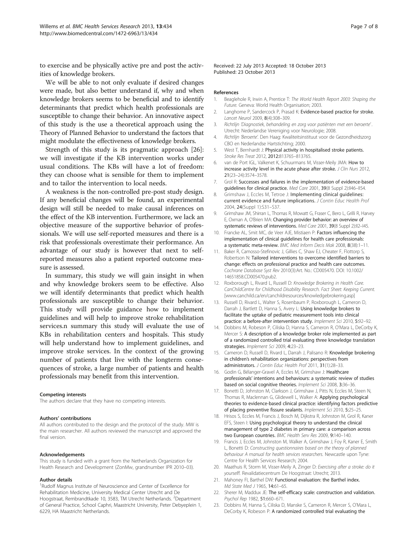<span id="page-6-0"></span>to exercise and be physically active pre and post the activities of knowledge brokers.

We will be able to not only evaluate if desired changes were made, but also better understand if, why and when knowledge brokers seems to be beneficial and to identify determinants that predict which health professionals are susceptible to change their behavior. An innovative aspect of this study is the use a theoretical approach using the Theory of Planned Behavior to understand the factors that might modulate the effectiveness of knowledge brokers.

Strength of this study is its pragmatic approach [\[26](#page-7-0)]: we will investigate if the KB intervention works under usual conditions. The KBs will have a lot of freedom: they can choose what is sensible for them to implement and to tailor the intervention to local needs.

A weakness is the non-controlled pre-post study design. If any beneficial changes will be found, an experimental design will still be needed to make causal inferences on the effect of the KB intervention. Furthermore, we lack an objective measure of the supportive behavior of professionals. We will use self-reported measures and there is a risk that professionals overestimate their performance. An advantage of our study is however that next to selfreported measures also a patient reported outcome measure is assessed.

In summary, this study we will gain insight in when and why knowledge brokers seem to be effective. Also we will identify determinants that predict which health professionals are susceptible to change their behavior. This study will provide guidance how to implement guidelines and will help to improve stroke rehabilitation services.n summary this study will evaluate the use of KBs in rehabilitation centers and hospitals. This study will help understand how to implement guidelines, and improve stroke services. In the context of the growing number of patients that live with the longterm consequences of stroke, a large number of patients and health professionals may benefit from this intervention.

#### Competing interests

The authors declare that they have no competing interests.

#### Authors' contributions

All authors contributed to the design and the protocol of the study. MW is the main researcher. All authors reviewed the manuscript and approved the final version.

#### Acknowledgements

This study is funded with a grant from the Netherlands Organization for Health Research and Development (ZonMw, grandnumber IPR 2010–03).

#### Author details

<sup>1</sup>Rudolf Magnus Institute of Neuroscience and Center of Excellence for Rehabilitation Medicine, University Medical Center Utrecht and De Hoogstraat, Rembrandtkade 10, 3583, TM Utrecht Netherlands. <sup>2</sup>Department of General Practice, School Caphri, Maastricht University, Peter Debyeplein 1, 6229, HA Maastricht Netherlands.

Received: 22 July 2013 Accepted: 18 October 2013 Published: 23 October 2013

#### References

- 1. Beaglehole R, Irwin A, Prentice T: The World Health Report 2003: Shaping the Future. Geneva: World Health Organisation; 2003.
- 2. Langhorne P, Sandercock P, Prasad K: Evidence-based practice for stroke. Lancet Neurol 2009, 8(4):308–309.
- 3. Richtlijn 'Diagnostiek, behandeling en zorg voor patiënten met een beroerte' . Utrecht: Nederlandse Vereniging voor Neurologie; 2008.
- 4. Richtlijn 'Beroerte'. Den Haag: Kwaliteitsinstituut voor de Gezondheidszorg CBO en Nederlandse Hartstichting; 2000.
- 5. West T, Bernhardt J: Physical activity in hospitalised stroke patients. Stroke Res Treat 2012, 2012:813765–813765.
- 6. van de Port IGL, Valkenet K, Schuurmans M, Visser-Meily JMA: How to increase activity level in the acute phase after stroke. J Clin Nurs 2012, 21(23–24):3574–3578.
- 7. Grol R: Successes and failures in the implementation of evidence-based guidelines for clinical practice. Med Care 2001, 39(8 Suppl 2):II46-II54.
- 8. Grimshaw J, Eccles M, Tetroe J: Implementing clinical guidelines: current evidence and future implications. J Contin Educ Health Prof 2004, 24(Suppl 1):S31–S37.
- 9. Grimshaw JM, Shirran L, Thomas R, Mowatt G, Fraser C, Bero L, Grilli R, Harvey E, Oxman A, O'Brien MA: Changing provider behavior: an overview of systematic reviews of interventions. Med Care 2001, 39(8 Suppl 2):II2-I45.
- 10. Francke AL, Smit MC, de Veer AJE, Mistiaen P: Factors influencing the implementation of clinical guidelines for health care professionals: a systematic meta-review. BMC Med Inform Decis Mak 2008, 8(38):1–11.
- 11. Baker R, Camosso-Stefinovic J, Gillies C, Shaw EJ, Cheater F, Flottorp S, Robertson N: Tailored interventions to overcome identified barriers to change: effects on professional practice and health care outcomes. Cochrane Database Syst Rev 2010(3):Art. No.: CD005470. DOI: 10.1002/ 14651858.CD005470.pub2.
- 12. Roxborough L, Rivard L, Russell D: Knowledge Brokering in Health Care. CanChildCentre for Childhood Disability Research. Fact Sheet: Keeping Current. [\[www.canchild.ca/en/canchildresources/knowledgebrokering.asp\]](http://www.canchild.ca/en/canchildresources/knowledgebrokering.asp)
- 13. Russell D, Rivard L, Walter S, Rosenbaum P, Roxborough L, Cameron D, Darrah J, Bartlett D, Hanna S, Avery L: Using knowledge brokers to facilitate the uptake of pediatric measurement tools into clinical practice: a before-after intervention study. Implement Sci 2010, 5:92–92.
- 14. Dobbins M, Robeson P, Ciliska D, Hanna S, Cameron R, O'Mara L, DeCorby K, Mercer S: A description of a knowledge broker role implemented as part of a randomized controlled trial evaluating three knowledge translation strategies. Implement Sci 2009, 4:23–23.
- 15. Cameron D, Russell D, Rivard L, Darrah J, Palisano R: Knowledge brokering in children's rehabilitation organizations: perspectives from administrators. J Contin Educ Health Prof 2011, 31(1):28–33.
- 16. Godin G, Bélanger-Gravel A, Eccles M, Grimshaw J: Healthcare professionals' intentions and behaviours: a systematic review of studies based on social cognitive theories. Implement Sci 2008, 3:36-36.
- 17. Bonetti D, Johnston M, Clarkson J, Grimshaw J, Pitts N, Eccles M, Steen N, Thomas R, Maclennan G, Glidewell L, Walker A: Applying psychological theories to evidence-based clinical practice: identifying factors predictive of placing preventive fissure sealants. Implement Sci 2010, 5:25–25.
- 18. Hrisos S, Eccles M, Francis J, Bosch M, Dijkstra R, Johnston M, Grol R, Kaner EFS, Steen I: Using psychological theory to understand the clinical management of type 2 diabetes in primary care: a comparison across two European countries. BMC Health Serv Res 2009, 9:140–140.
- 19. Francis J, Eccles M, Johnston M, Walker A, Grimshaw J, Foy R, Kaner E, Smith L, Bonetti D: Constructing questionnaires based on the theory of planned behaviour A manual for health services researchers. Newcastle upon Tyne: Centre for Health Services Research; 2004.
- 20. Maathuis R, Storm M, Visser-Meily A, Zinger D: Exercising after a stroke: do it yourself!. Revalidatiecentrum De Hoogstraat: Utrecht; 2013.
- 21. Mahoney FI, Barthel DW: Functional evaluation: the Barthel index. Md State Med J 1965, 14:61–65.
- 22. Sherer M, Maddux JE: The self-efficacy scale: construction and validation. Psychol Rep 1982, 51:660–671.
- 23. Dobbins M, Hanna S, Ciliska D, Manske S, Cameron R, Mercer S, O'Mara L, DeCorby K, Robeson P: A randomized controlled trial evaluating the